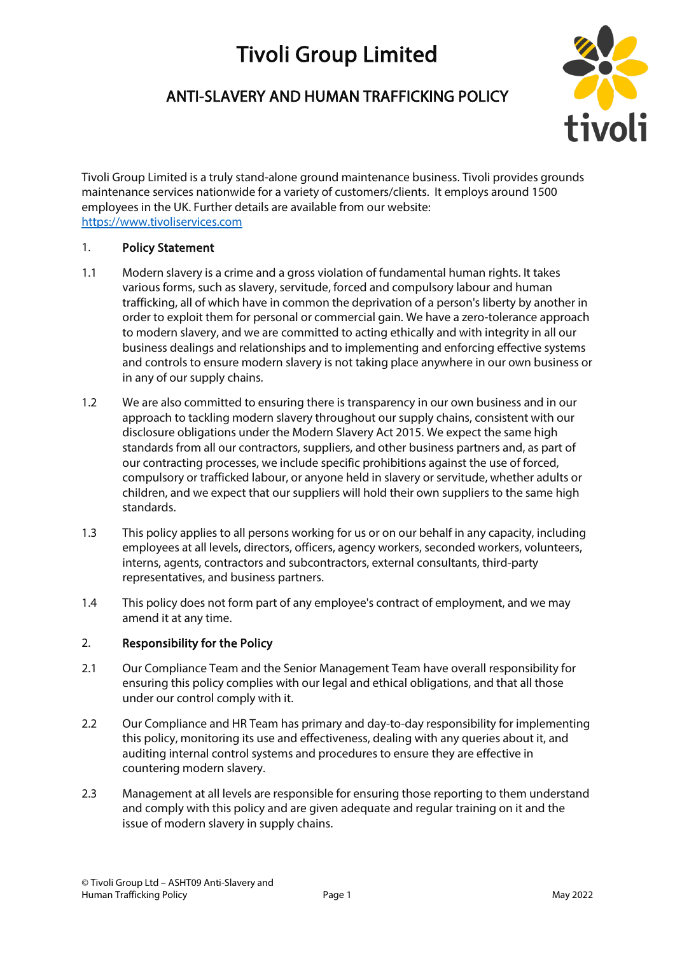# Tivoli Group Limited

# ANTI-SLAVERY AND HUMAN TRAFFICKING POLICY



Tivoli Group Limited is a truly stand-alone ground maintenance business. Tivoli provides grounds maintenance services nationwide for a variety of customers/clients. It employs around 1500 employees in the UK. Further details are available from our website: [https://www.tivoliservices.com](https://www.tivoliservices.com/)

#### 1. Policy Statement

- 1.1 Modern slavery is a crime and a gross violation of fundamental human rights. It takes various forms, such as slavery, servitude, forced and compulsory labour and human trafficking, all of which have in common the deprivation of a person's liberty by another in order to exploit them for personal or commercial gain. We have a zero-tolerance approach to modern slavery, and we are committed to acting ethically and with integrity in all our business dealings and relationships and to implementing and enforcing effective systems and controls to ensure modern slavery is not taking place anywhere in our own business or in any of our supply chains.
- 1.2 We are also committed to ensuring there is transparency in our own business and in our approach to tackling modern slavery throughout our supply chains, consistent with our disclosure obligations under the Modern Slavery Act 2015. We expect the same high standards from all our contractors, suppliers, and other business partners and, as part of our contracting processes, we include specific prohibitions against the use of forced, compulsory or trafficked labour, or anyone held in slavery or servitude, whether adults or children, and we expect that our suppliers will hold their own suppliers to the same high standards.
- 1.3 This policy applies to all persons working for us or on our behalf in any capacity, including employees at all levels, directors, officers, agency workers, seconded workers, volunteers, interns, agents, contractors and subcontractors, external consultants, third-party representatives, and business partners.
- 1.4 This policy does not form part of any employee's contract of employment, and we may amend it at any time.

# 2. Responsibility for the Policy

- 2.1 Our Compliance Team and the Senior Management Team have overall responsibility for ensuring this policy complies with our legal and ethical obligations, and that all those under our control comply with it.
- 2.2 Our Compliance and HR Team has primary and day-to-day responsibility for implementing this policy, monitoring its use and effectiveness, dealing with any queries about it, and auditing internal control systems and procedures to ensure they are effective in countering modern slavery.
- 2.3 Management at all levels are responsible for ensuring those reporting to them understand and comply with this policy and are given adequate and regular training on it and the issue of modern slavery in supply chains.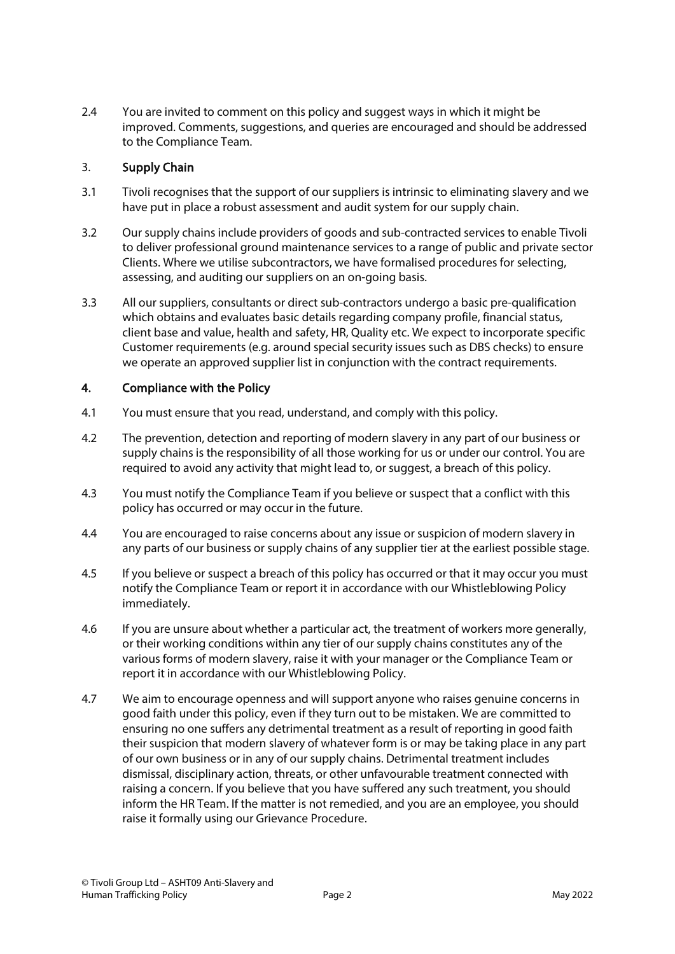2.4 You are invited to comment on this policy and suggest ways in which it might be improved. Comments, suggestions, and queries are encouraged and should be addressed to the Compliance Team.

#### 3. Supply Chain

- 3.1 Tivoli recognises that the support of our suppliers is intrinsic to eliminating slavery and we have put in place a robust assessment and audit system for our supply chain.
- 3.2 Our supply chains include providers of goods and sub-contracted services to enable Tivoli to deliver professional ground maintenance services to a range of public and private sector Clients. Where we utilise subcontractors, we have formalised procedures for selecting, assessing, and auditing our suppliers on an on-going basis.
- 3.3 All our suppliers, consultants or direct sub-contractors undergo a basic pre-qualification which obtains and evaluates basic details regarding company profile, financial status, client base and value, health and safety, HR, Quality etc. We expect to incorporate specific Customer requirements (e.g. around special security issues such as DBS checks) to ensure we operate an approved supplier list in conjunction with the contract requirements.

#### 4. Compliance with the Policy

- 4.1 You must ensure that you read, understand, and comply with this policy.
- 4.2 The prevention, detection and reporting of modern slavery in any part of our business or supply chains is the responsibility of all those working for us or under our control. You are required to avoid any activity that might lead to, or suggest, a breach of this policy.
- 4.3 You must notify the Compliance Team if you believe or suspect that a conflict with this policy has occurred or may occur in the future.
- 4.4 You are encouraged to raise concerns about any issue or suspicion of modern slavery in any parts of our business or supply chains of any supplier tier at the earliest possible stage.
- 4.5 If you believe or suspect a breach of this policy has occurred or that it may occur you must notify the Compliance Team or report it in accordance with our Whistleblowing Policy immediately.
- 4.6 If you are unsure about whether a particular act, the treatment of workers more generally, or their working conditions within any tier of our supply chains constitutes any of the various forms of modern slavery, raise it with your manager or the Compliance Team or report it in accordance with our Whistleblowing Policy.
- 4.7 We aim to encourage openness and will support anyone who raises genuine concerns in good faith under this policy, even if they turn out to be mistaken. We are committed to ensuring no one suffers any detrimental treatment as a result of reporting in good faith their suspicion that modern slavery of whatever form is or may be taking place in any part of our own business or in any of our supply chains. Detrimental treatment includes dismissal, disciplinary action, threats, or other unfavourable treatment connected with raising a concern. If you believe that you have suffered any such treatment, you should inform the HR Team. If the matter is not remedied, and you are an employee, you should raise it formally using our Grievance Procedure.